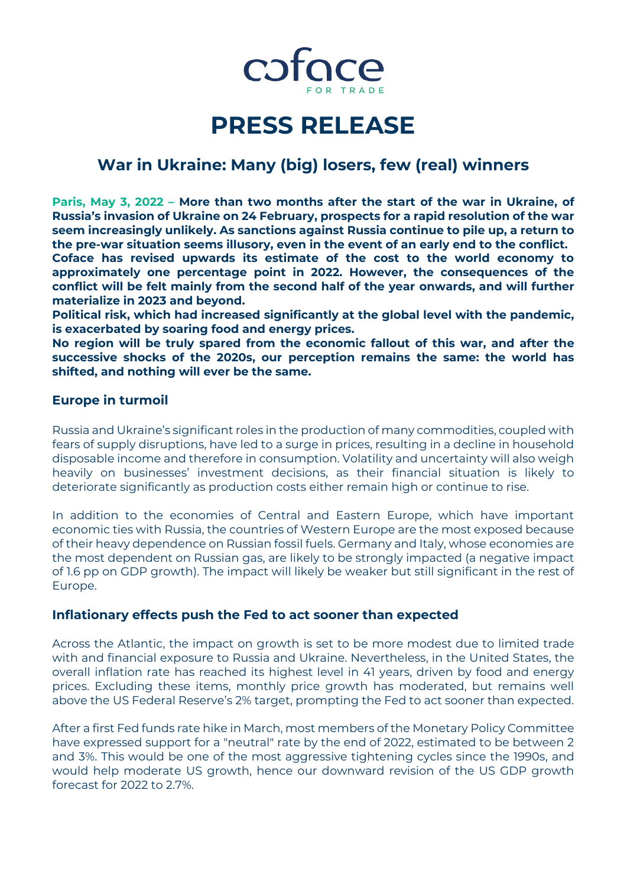

# **PRESS RELEASE**

## **War in Ukraine: Many (big) losers, few (real) winners**

**Paris, May 3, 2022 – More than two months after the start of the war in Ukraine, of Russia's invasion of Ukraine on 24 February, prospects for a rapid resolution of the war seem increasingly unlikely. As sanctions against Russia continue to pile up, a return to the pre-war situation seems illusory, even in the event of an early end to the conflict.** 

**Coface has revised upwards its estimate of the cost to the world economy to approximately one percentage point in 2022. However, the consequences of the conflict will be felt mainly from the second half of the year onwards, and will further materialize in 2023 and beyond.** 

**Political risk, which had increased significantly at the global level with the pandemic, is exacerbated by soaring food and energy prices.**

**No region will be truly spared from the economic fallout of this war, and after the successive shocks of the 2020s, our perception remains the same: the world has shifted, and nothing will ever be the same.**

## **Europe in turmoil**

Russia and Ukraine's significant roles in the production of many commodities, coupled with fears of supply disruptions, have led to a surge in prices, resulting in a decline in household disposable income and therefore in consumption. Volatility and uncertainty will also weigh heavily on businesses' investment decisions, as their financial situation is likely to deteriorate significantly as production costs either remain high or continue to rise.

In addition to the economies of Central and Eastern Europe, which have important economic ties with Russia, the countries of Western Europe are the most exposed because of their heavy dependence on Russian fossil fuels. Germany and Italy, whose economies are the most dependent on Russian gas, are likely to be strongly impacted (a negative impact of 1.6 pp on GDP growth). The impact will likely be weaker but still significant in the rest of Europe.

## **Inflationary effects push the Fed to act sooner than expected**

Across the Atlantic, the impact on growth is set to be more modest due to limited trade with and financial exposure to Russia and Ukraine. Nevertheless, in the United States, the overall inflation rate has reached its highest level in 41 years, driven by food and energy prices. Excluding these items, monthly price growth has moderated, but remains well above the US Federal Reserve's 2% target, prompting the Fed to act sooner than expected.

After a first Fed funds rate hike in March, most members of the Monetary Policy Committee have expressed support for a "neutral" rate by the end of 2022, estimated to be between 2 and 3%. This would be one of the most aggressive tightening cycles since the 1990s, and would help moderate US growth, hence our downward revision of the US GDP growth forecast for 2022 to 2.7%.